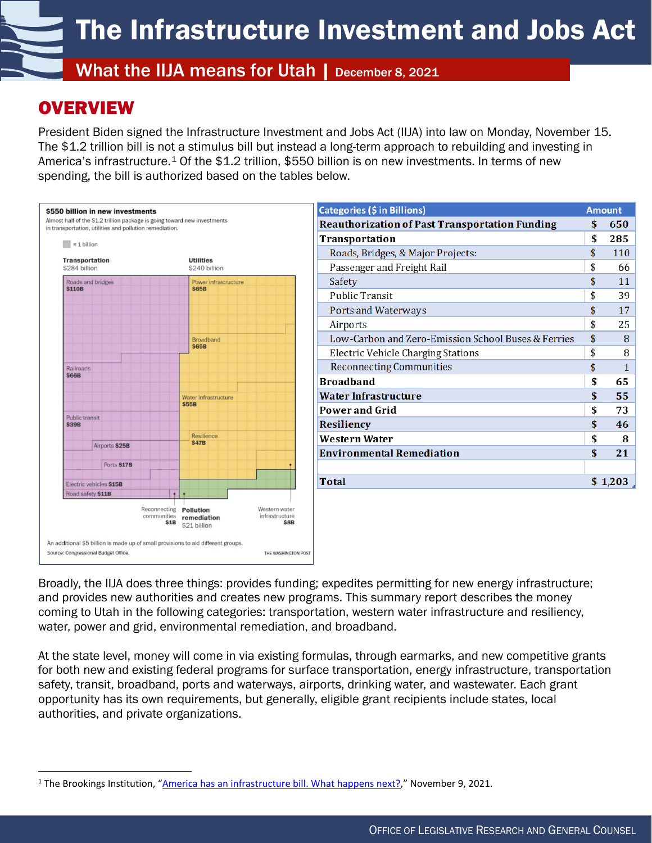What the IIJA means for Utah | December 8, 2021

# **OVERVIEW**

N

President Biden signed the Infrastructure Investment and Jobs Act (IIJA) into law on Monday, November 15. The \$1.2 trillion bill is not a stimulus bill but instead a long-term approach to rebuilding and investing in America's infrastructure.<sup>[1](#page-0-0)</sup> Of the \$1.2 trillion, \$550 billion is on new investments. In terms of new spending, the bill is authorized based on the tables below.



| Categories (\$ in Billions)                           | <b>Amount</b> |         |  |
|-------------------------------------------------------|---------------|---------|--|
| <b>Reauthorization of Past Transportation Funding</b> | \$            | 650     |  |
| Transportation                                        | \$            | 285     |  |
| Roads, Bridges, & Major Projects:                     | \$            | 110     |  |
| Passenger and Freight Rail                            | \$            | 66      |  |
| Safety                                                | \$            | 11      |  |
| <b>Public Transit</b>                                 | \$            | 39      |  |
| Ports and Waterways                                   | \$            | 17      |  |
| Airports                                              | \$            | 25      |  |
| Low-Carbon and Zero-Emission School Buses & Ferries   | \$            | 8       |  |
| Electric Vehicle Charging Stations                    | \$            | 8       |  |
| <b>Reconnecting Communities</b>                       | \$            | 1       |  |
| <b>Broadband</b>                                      | \$            | 65      |  |
| Water Infrastructure                                  | \$            | 55      |  |
| <b>Power and Grid</b>                                 | \$            | 73      |  |
| Resiliency                                            | \$            | 46      |  |
| Western Water                                         | \$            | 8       |  |
| Environmental Remediation                             | \$            | 21      |  |
|                                                       |               |         |  |
| <b>Total</b>                                          |               | \$1,203 |  |
|                                                       |               |         |  |

Broadly, the IIJA does three things: provides funding; expedites permitting for new energy infrastructure; and provides new authorities and creates new programs. This summary report describes the money coming to Utah in the following categories: transportation, western water infrastructure and resiliency, water, power and grid, environmental remediation, and broadband.

At the state level, money will come in via existing formulas, through earmarks, and new competitive grants for both new and existing federal programs for surface transportation, energy infrastructure, transportation safety, transit, broadband, ports and waterways, airports, drinking water, and wastewater. Each grant opportunity has its own requirements, but generally, eligible grant recipients include states, local authorities, and private organizations.

<span id="page-0-0"></span><sup>1</sup> The Brookings Institution, ["America has an infrastructure bill. What happens next?,](https://www.brookings.edu/blog/the-avenue/2021/11/09/america-has-an-infrastructure-bill-what-happens-next/)" November 9, 2021.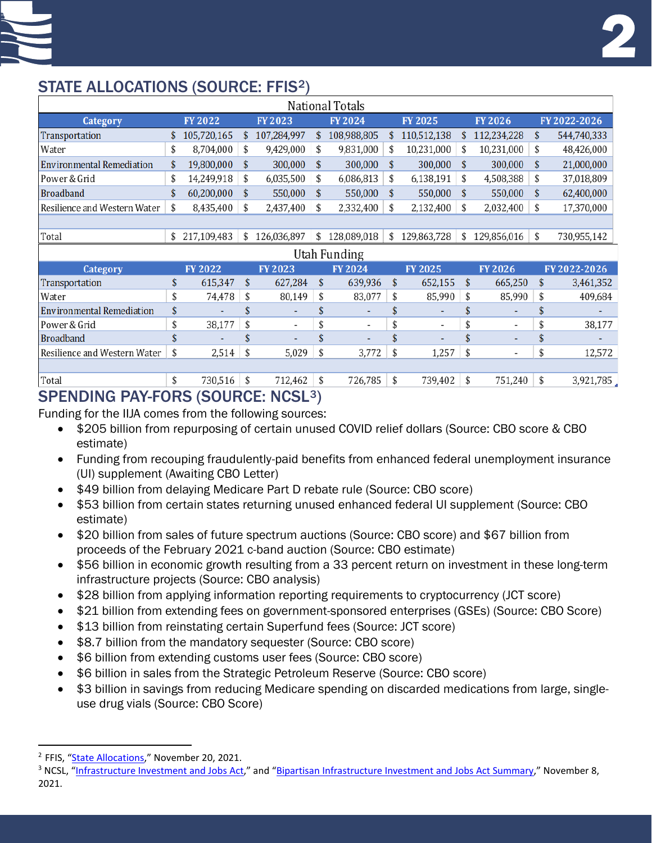# STATE ALLOCATIONS (SOURCE: FFIS[2\)](#page-1-0)

| National Totals                  |    |                |    |                |    |                          |    |                |     |               |                   |
|----------------------------------|----|----------------|----|----------------|----|--------------------------|----|----------------|-----|---------------|-------------------|
| Category                         |    | <b>FY 2022</b> |    | <b>FY2023</b>  |    | <b>FY2024</b>            |    | <b>FY 2025</b> |     | <b>FY2026</b> | FY 2022-2026      |
| Transportation                   | \$ | 105,720,165    | S  | 107,284,997    | \$ | 108,988,805              | \$ | 110,512,138    |     | 112,234,228   | \$<br>544,740,333 |
| Water                            | \$ | 8,704,000      | \$ | 9,429,000      | \$ | 9,831,000                | \$ | 10,231,000     | S   | 10,231,000    | \$<br>48,426,000  |
| <b>Environmental Remediation</b> |    | 19,800,000     | \$ | 300,000        | \$ | 300,000                  | \$ | 300,000        | \$  | 300,000       | \$<br>21,000,000  |
| Power & Grid                     | \$ | 14,249,918     | \$ | 6,035,500      | \$ | 6,086,813                | \$ | 6,138,191      | \$  | 4,508,388     | \$<br>37,018,809  |
| <b>Broadband</b>                 | \$ | 60,200,000     | S  | 550,000        | \$ | 550,000                  | \$ | 550,000        | \$. | 550,000       | \$<br>62,400,000  |
| Resilience and Western Water     | \$ | 8,435,400      | \$ | 2,437,400      | \$ | 2,332,400                | \$ | 2,132,400      | \$  | 2,032,400     | \$<br>17,370,000  |
|                                  |    |                |    |                |    |                          |    |                |     |               |                   |
| Total                            | \$ | 217,109,483    | \$ | 126,036,897    | \$ | 128,089,018              | \$ | 129,863,728    | \$  | 129,856,016   | \$<br>730,955,142 |
| Utah Funding                     |    |                |    |                |    |                          |    |                |     |               |                   |
| <b>Category</b>                  |    | <b>FY 2022</b> |    | <b>FY2023</b>  |    | <b>FY2024</b>            |    | <b>FY 2025</b> |     | <b>FY2026</b> | FY 2022-2026      |
| Transportation                   | \$ | 615,347        | \$ | 627,284        | \$ | 639,936                  | \$ | 652,155        | \$  | 665,250       | \$<br>3,461,352   |
| Water                            | \$ | 74,478         | \$ | 80,149         | \$ | 83,077                   | \$ | 85,990         | \$  | 85,990        | \$<br>409,684     |
| <b>Environmental Remediation</b> | \$ |                | \$ |                | \$ | ٠                        | \$ |                |     | ٠             |                   |
| Power & Grid                     | \$ | 38,177         | \$ | $\blacksquare$ | \$ | $\overline{\phantom{a}}$ | \$ | $\blacksquare$ | \$  | ٠             | \$<br>38,177      |
| <b>Broadband</b>                 |    |                |    |                | \$ |                          |    |                |     |               |                   |
| Resilience and Western Water     | \$ | 2,514          | \$ | 5,029          | \$ | 3,772                    | \$ | 1,257          | \$  | ۰             | \$<br>12,572      |
|                                  |    |                |    |                |    |                          |    |                |     |               |                   |
| Total                            | \$ | 730,516        | \$ | 712,462        | \$ | 726,785                  | \$ | 739,402        | \$  | 751,240       | \$<br>3,921,785   |

# SPENDING PAY-FORS (SOURCE: NCSL[3](#page-1-1))

Funding for the IIJA comes from the following sources:

- \$205 billion from repurposing of certain unused COVID relief dollars (Source: CBO score & CBO estimate)
- Funding from recouping fraudulently-paid benefits from enhanced federal unemployment insurance (UI) supplement (Awaiting CBO Letter)
- \$49 billion from delaying Medicare Part D rebate rule (Source: CBO score)
- \$53 billion from certain states returning unused enhanced federal UI supplement (Source: CBO estimate)
- \$20 billion from sales of future spectrum auctions (Source: CBO score) and \$67 billion from proceeds of the February 2021 c-band auction (Source: CBO estimate)
- \$56 billion in economic growth resulting from a 33 percent return on investment in these long-term infrastructure projects (Source: CBO analysis)
- \$28 billion from applying information reporting requirements to cryptocurrency (JCT score)
- \$21 billion from extending fees on government-sponsored enterprises (GSEs) (Source: CBO Score)
- \$13 billion from reinstating certain Superfund fees (Source: JCT score)
- \$8.7 billion from the mandatory sequester (Source: CBO score)
- \$6 billion from extending customs user fees (Source: CBO score)
- \$6 billion in sales from the Strategic Petroleum Reserve (Source: CBO score)
- \$3 billion in savings from reducing Medicare spending on discarded medications from large, singleuse drug vials (Source: CBO Score)

<span id="page-1-0"></span><sup>2</sup> FFIS, ["State Allocations,"](https://ffis.org/system/files/private/publications/2021/ffis_state_funding_in_iija_3.xlsx) November 20, 2021.

<span id="page-1-1"></span><sup>&</sup>lt;sup>3</sup> NCSL, ["Infrastructure Investment and Jobs Act,](https://www.ncsl.org/ncsl-in-dc/publications-and-resources/infrastructure-investment-and-jobs-act.aspx)" and ["Bipartisan Infrastructure Investment and Jobs Act Summary,"](https://www.ncsl.org/documents/statefed/IIJA-Section-by-Section.pdf) November 8, 2021.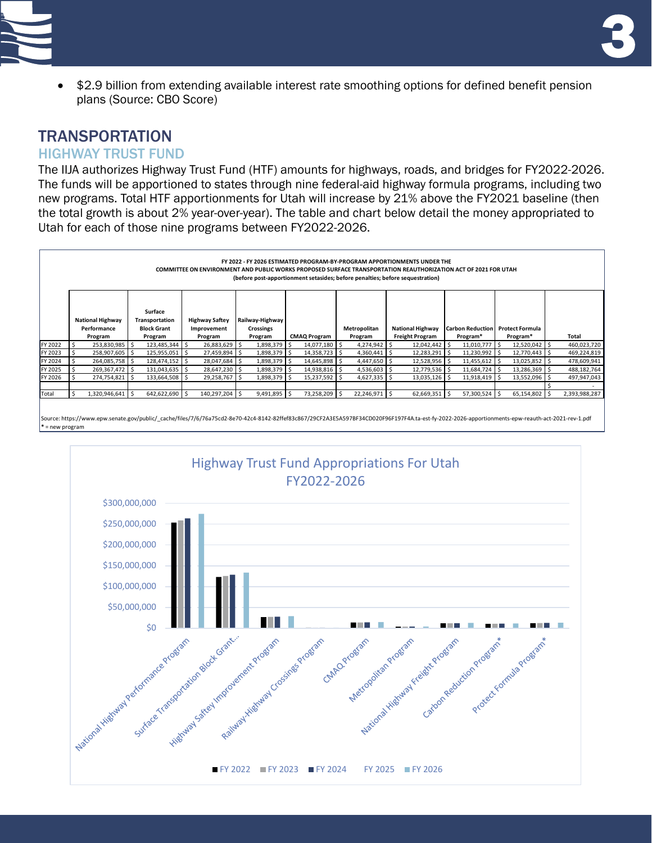

• \$2.9 billion from extending available interest rate smoothing options for defined benefit pension plans (Source: CBO Score)

# **TRANSPORTATION**

### HIGHWAY TRUST FUND

The IIJA authorizes Highway Trust Fund (HTF) amounts for highways, roads, and bridges for FY2022-2026. The funds will be apportioned to states through nine federal-aid highway formula programs, including two new programs. Total HTF apportionments for Utah will increase by 21% above the FY2021 baseline (then the total growth is about 2% year-over-year). The table and chart below detail the money appropriated to Utah for each of those nine programs between FY2022-2026.



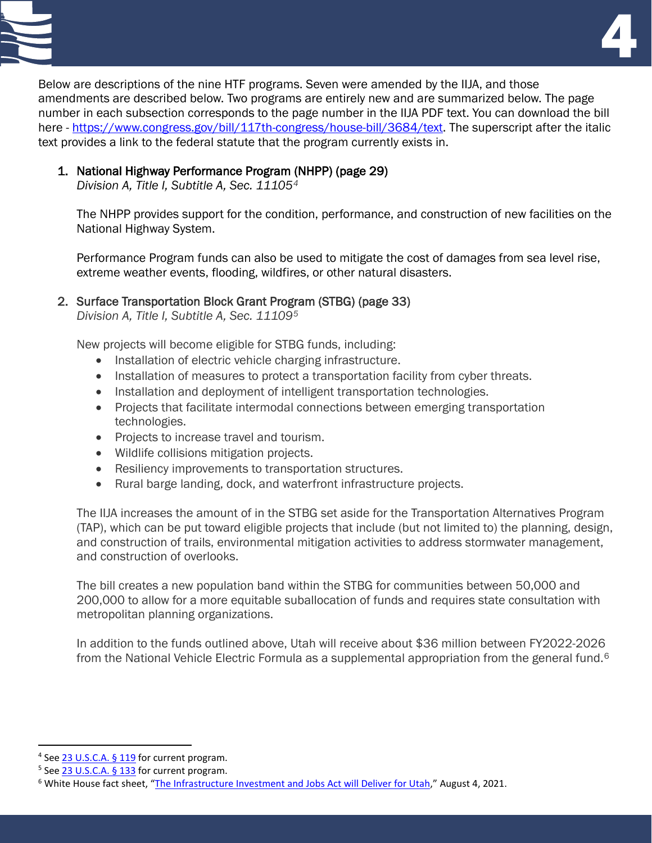

Below are descriptions of the nine HTF programs. Seven were amended by the IIJA, and those amendments are described below. Two programs are entirely new and are summarized below. The page number in each subsection corresponds to the page number in the IIJA PDF text. You can download the bill here - [https://www.congress.gov/bill/117th-congress/house-bill/3684/text.](https://www.congress.gov/bill/117th-congress/house-bill/3684/text) The superscript after the italic text provides a link to the federal statute that the program currently exists in.

#### 1. National Highway Performance Program (NHPP) (page 29)

*Division A, Title I, Subtitle A, Sec. 11105[4](#page-3-0)*

The NHPP provides support for the condition, performance, and construction of new facilities on the National Highway System.

Performance Program funds can also be used to mitigate the cost of damages from sea level rise, extreme weather events, flooding, wildfires, or other natural disasters.

#### 2. Surface Transportation Block Grant Program (STBG) (page 33)

*Division A, Title I, Subtitle A, Sec. 11109[5](#page-3-1)*

New projects will become eligible for STBG funds, including:

- Installation of electric vehicle charging infrastructure.
- Installation of measures to protect a transportation facility from cyber threats.
- Installation and deployment of intelligent transportation technologies.
- Projects that facilitate intermodal connections between emerging transportation technologies.
- Projects to increase travel and tourism.
- Wildlife collisions mitigation projects.
- Resiliency improvements to transportation structures.
- Rural barge landing, dock, and waterfront infrastructure projects.

The IIJA increases the amount of in the STBG set aside for the Transportation Alternatives Program (TAP), which can be put toward eligible projects that include (but not limited to) the planning, design, and construction of trails, environmental mitigation activities to address stormwater management, and construction of overlooks.

The bill creates a new population band within the STBG for communities between 50,000 and 200,000 to allow for a more equitable suballocation of funds and requires state consultation with metropolitan planning organizations.

In addition to the funds outlined above, Utah will receive about \$36 million between FY2022-2026 from the National Vehicle Electric Formula as a supplemental appropriation from the general fund.<sup>[6](#page-3-2)</sup>

<span id="page-3-0"></span><sup>&</sup>lt;sup>4</sup> See [23 U.S.C.A. § 119](https://1.next.westlaw.com/Document/N29452DD05FCF11EA9B20D2ACB48A9A96/View/FullText.html?transitionType=UniqueDocItem&contextData=(sc.UserEnteredCitation)&userEnteredCitation=23+U.S.C.A.+s+119) for current program.

<span id="page-3-1"></span><sup>&</sup>lt;sup>5</sup> See [23 U.S.C.A. § 133](https://1.next.westlaw.com/Document/N4BEA50F0C60D11E584B0E7EACC20870E/View/FullText.html?transitionType=UniqueDocItem&contextData=(sc.UserEnteredCitation)&userEnteredCitation=23+U.S.C.A.+s+133) for current program.

<span id="page-3-2"></span><sup>6</sup> White House fact sheet, ["The Infrastructure Investment and Jobs Act will Deliver for Utah,](https://www.whitehouse.gov/wp-content/uploads/2021/08/UTAH_Infrastructure-Investment-and-Jobs-Act-State-Fact-Sheet.pdf)" August 4, 2021.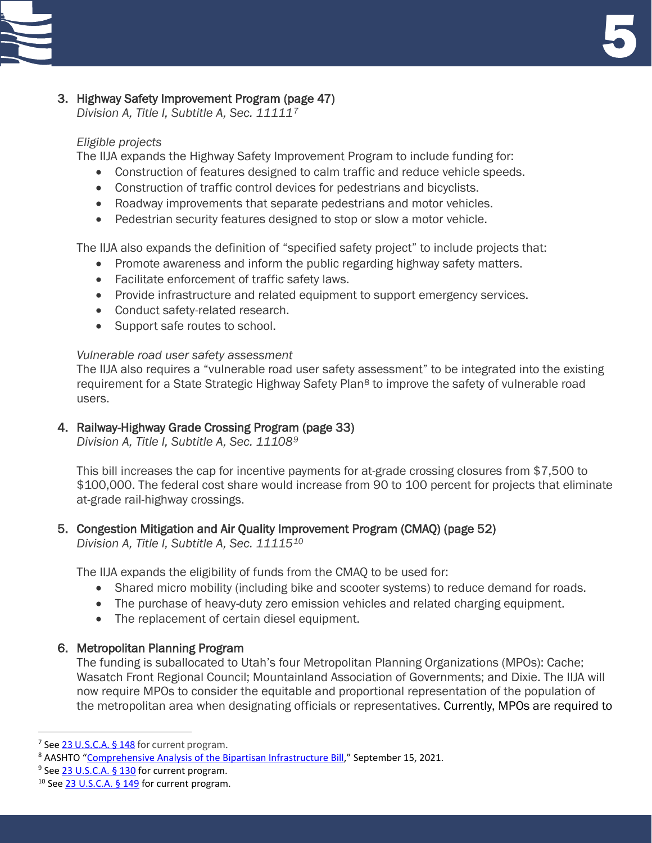

### 3. Highway Safety Improvement Program (page 47)

*Division A, Title I, Subtitle A, Sec. 11111[7](#page-4-0)*

### *Eligible projects*

The IIJA expands the Highway Safety Improvement Program to include funding for:

- Construction of features designed to calm traffic and reduce vehicle speeds.
- Construction of traffic control devices for pedestrians and bicyclists.
- Roadway improvements that separate pedestrians and motor vehicles.
- Pedestrian security features designed to stop or slow a motor vehicle.

The IIJA also expands the definition of "specified safety project" to include projects that:

- Promote awareness and inform the public regarding highway safety matters.
- Facilitate enforcement of traffic safety laws.
- Provide infrastructure and related equipment to support emergency services.
- Conduct safety-related research.
- Support safe routes to school.

#### *Vulnerable road user safety assessment*

The IIJA also requires a "vulnerable road user safety assessment" to be integrated into the existing requirement for a State Strategic Highway Safety Plan<sup>[8](#page-4-1)</sup> to improve the safety of vulnerable road users.

### 4. Railway-Highway Grade Crossing Program (page 33)

*Division A, Title I, Subtitle A, Sec. 11108[9](#page-4-2)*

This bill increases the cap for incentive payments for at-grade crossing closures from \$7,500 to \$100,000. The federal cost share would increase from 90 to 100 percent for projects that eliminate at-grade rail-highway crossings.

### 5. Congestion Mitigation and Air Quality Improvement Program (CMAQ) (page 52)

*Division A, Title I, Subtitle A, Sec. 11115[10](#page-4-3)*

The IIJA expands the eligibility of funds from the CMAQ to be used for:

- Shared micro mobility (including bike and scooter systems) to reduce demand for roads.
- The purchase of heavy-duty zero emission vehicles and related charging equipment.
- The replacement of certain diesel equipment.

### 6. Metropolitan Planning Program

The funding is suballocated to Utah's four Metropolitan Planning Organizations (MPOs): Cache; Wasatch Front Regional Council; Mountainland Association of Governments; and Dixie. The IIJA will now require MPOs to consider the equitable and proportional representation of the population of the metropolitan area when designating officials or representatives. Currently, MPOs are required to

<span id="page-4-0"></span><sup>&</sup>lt;sup>7</sup> See [23 U.S.C.A. § 148](https://1.next.westlaw.com/Document/N3BFA90A0C93311E59FB5CA226F594BCE/View/FullText.html?transitionType=UniqueDocItem&contextData=(sc.UserEnteredCitation)&userEnteredCitation=23+USCA+148) for current program.

<span id="page-4-1"></span><sup>&</sup>lt;sup>8</sup> AASHTO ["Comprehensive Analysis of the Bipartisan Infrastructure Bill,](https://policy.transportation.org/wp-content/uploads/sites/59/2021/09/2021-09-15-AASHTO-Comprehensive-Analysis-of-IIJA-FINAL.pdf)" September 15, 2021.<br><sup>9</sup> See [23 U.S.C.A. § 130](https://1.next.westlaw.com/Document/N8D304E40CF9811E5BA1DE31368279C38/View/FullText.html?transitionType=UniqueDocItem&contextData=(sc.UserEnteredCitation)&userEnteredCitation=23+USCA+130(e)) for current program.

<span id="page-4-2"></span>

<span id="page-4-3"></span><sup>10</sup> Se[e 23 U.S.C.A. § 149](https://1.next.westlaw.com/Document/N93E9DF7048D211E8AC66D29347B85835/View/FullText.html?transitionType=UniqueDocItem&contextData=(sc.UserEnteredCitation)&userEnteredCitation=23+USCA+s+149) for current program.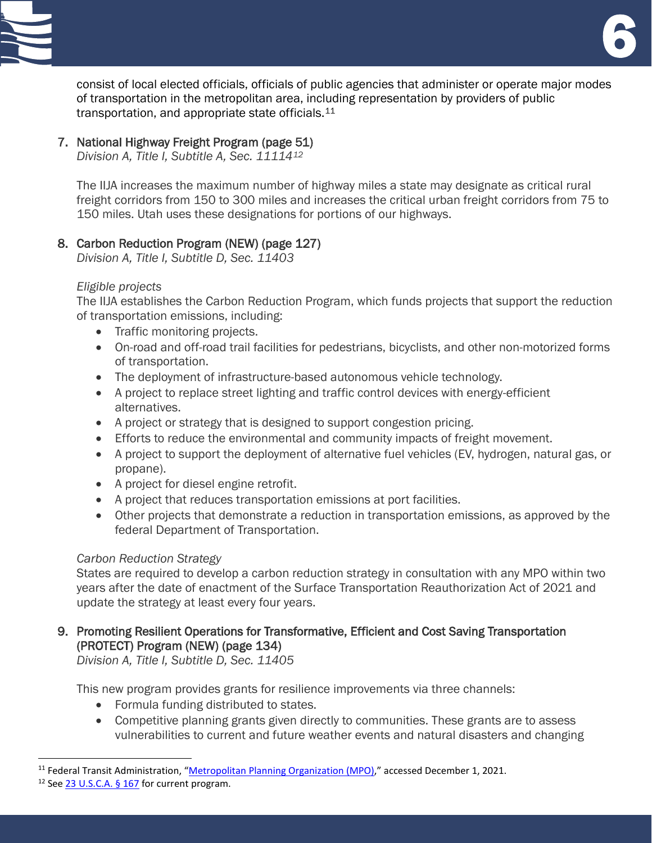<u>e de la compa</u><br>1980 - Carlo Carlo Carlo Carlo Carlo Carlo Carlo Carlo Carlo Carlo Carlo Carlo Carlo Carlo Carlo Carlo Carlo<br>1980 - Carlo Carlo Carlo Carlo Carlo Carlo Carlo Carlo Carlo Carlo Carlo Carlo Carlo Carlo Carlo



consist of local elected officials, officials of public agencies that administer or operate major modes of transportation in the metropolitan area, including representation by providers of public transportation, and appropriate state officials.<sup>[11](#page-5-0)</sup>

### 7. National Highway Freight Program (page 51)

*Division A, Title I, Subtitle A, Sec. 11114[12](#page-5-1)*

The IIJA increases the maximum number of highway miles a state may designate as critical rural freight corridors from 150 to 300 miles and increases the critical urban freight corridors from 75 to 150 miles. Utah uses these designations for portions of our highways.

#### 8. Carbon Reduction Program (NEW) (page 127)

*Division A, Title I, Subtitle D, Sec. 11403*

#### *Eligible projects*

The IIJA establishes the Carbon Reduction Program, which funds projects that support the reduction of transportation emissions, including:

- Traffic monitoring projects.
- On-road and off-road trail facilities for pedestrians, bicyclists, and other non-motorized forms of transportation.
- The deployment of infrastructure-based autonomous vehicle technology.
- A project to replace street lighting and traffic control devices with energy-efficient alternatives.
- A project or strategy that is designed to support congestion pricing.
- Efforts to reduce the environmental and community impacts of freight movement.
- A project to support the deployment of alternative fuel vehicles (EV, hydrogen, natural gas, or propane).
- A project for diesel engine retrofit.
- A project that reduces transportation emissions at port facilities.
- Other projects that demonstrate a reduction in transportation emissions, as approved by the federal Department of Transportation.

#### *Carbon Reduction Strategy*

States are required to develop a carbon reduction strategy in consultation with any MPO within two years after the date of enactment of the Surface Transportation Reauthorization Act of 2021 and update the strategy at least every four years.

### 9. Promoting Resilient Operations for Transformative, Efficient and Cost Saving Transportation (PROTECT) Program (NEW) (page 134)

*Division A, Title I, Subtitle D, Sec. 11405*

This new program provides grants for resilience improvements via three channels:

- Formula funding distributed to states.
- Competitive planning grants given directly to communities. These grants are to assess vulnerabilities to current and future weather events and natural disasters and changing

<span id="page-5-0"></span><sup>&</sup>lt;sup>11</sup> Federal Transit Administration, ["Metropolitan Planning Organization \(MPO\),](https://www.transit.dot.gov/regulations-and-guidance/transportation-planning/metropolitan-planning-organization-mpo)" accessed December 1, 2021.

<span id="page-5-1"></span><sup>&</sup>lt;sup>12</sup> Se[e 23 U.S.C.A. § 167](https://1.next.westlaw.com/Document/N12458B90CAE411E59FB5CA226F594BCE/View/FullText.html?transitionType=UniqueDocItem&contextData=(sc.UserEnteredCitation)&userEnteredCitation=23+U.S.C.A.+s+167) for current program.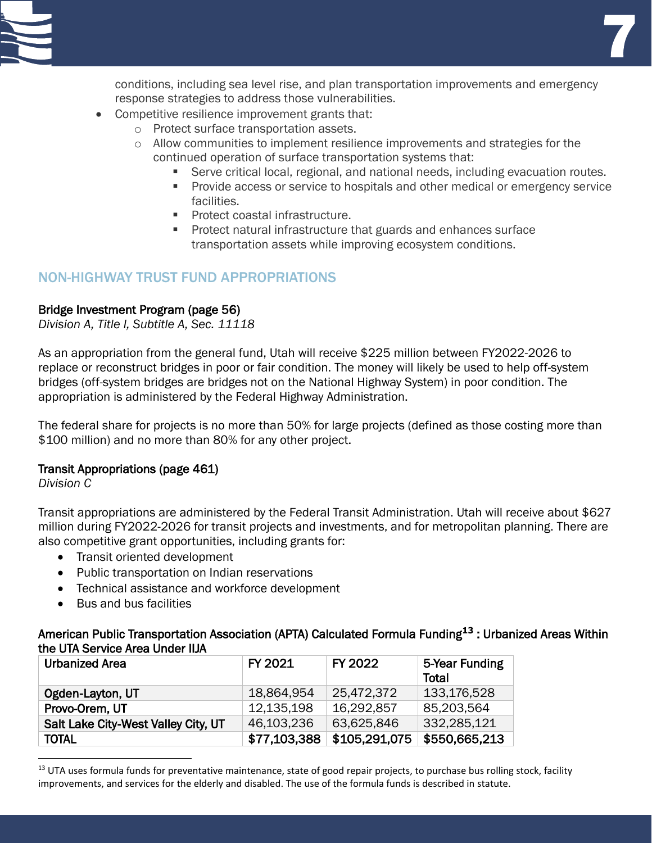

conditions, including sea level rise, and plan transportation improvements and emergency response strategies to address those vulnerabilities.

- Competitive resilience improvement grants that:
	- o Protect surface transportation assets.
	- $\circ$  Allow communities to implement resilience improvements and strategies for the continued operation of surface transportation systems that:
		- Serve critical local, regional, and national needs, including evacuation routes.
		- **Provide access or service to hospitals and other medical or emergency service** facilities.
		- **Protect coastal infrastructure.**
		- **Protect natural infrastructure that guards and enhances surface** transportation assets while improving ecosystem conditions.

### NON-HIGHWAY TRUST FUND APPROPRIATIONS

#### Bridge Investment Program (page 56)

*Division A, Title I, Subtitle A, Sec. 11118*

As an appropriation from the general fund, Utah will receive \$225 million between FY2022-2026 to replace or reconstruct bridges in poor or fair condition. The money will likely be used to help off-system bridges (off-system bridges are bridges not on the National Highway System) in poor condition. The appropriation is administered by the Federal Highway Administration.

The federal share for projects is no more than 50% for large projects (defined as those costing more than \$100 million) and no more than 80% for any other project.

#### Transit Appropriations (page 461)

*Division C*

Transit appropriations are administered by the Federal Transit Administration. Utah will receive about \$627 million during FY2022-2026 for transit projects and investments, and for metropolitan planning. There are also competitive grant opportunities, including grants for:

- Transit oriented development
- Public transportation on Indian reservations
- Technical assistance and workforce development
- Bus and bus facilities

American Public Transportation Association (APTA) Calculated Formula Funding**[13](#page-6-0)** : Urbanized Areas Within the UTA Service Area Under IIJA

| Urbanized Area                      | FY 2021      | FY 2022       | 5-Year Funding<br>Total |
|-------------------------------------|--------------|---------------|-------------------------|
| Ogden-Layton, UT                    | 18,864,954   | 25,472,372    | 133,176,528             |
| Provo-Orem, UT                      | 12,135,198   | 16,292,857    | 85,203,564              |
| Salt Lake City-West Valley City, UT | 46,103,236   | 63,625,846    | 332,285,121             |
| <b>TOTAL</b>                        | \$77,103,388 | \$105,291,075 | \$550,665,213           |

<span id="page-6-0"></span><sup>&</sup>lt;sup>13</sup> UTA uses formula funds for preventative maintenance, state of good repair projects, to purchase bus rolling stock, facility improvements, and services for the elderly and disabled. The use of the formula funds is described in statute.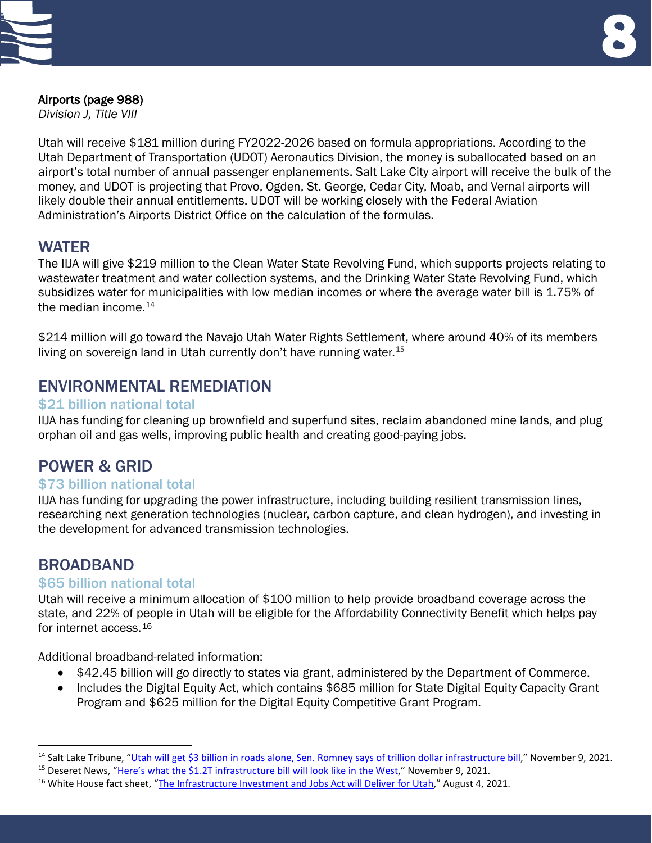

# Airports (page 988)

*Division J, Title VIII*

Utah will receive \$181 million during FY2022-2026 based on formula appropriations. According to the Utah Department of Transportation (UDOT) Aeronautics Division, the money is suballocated based on an airport's total number of annual passenger enplanements. Salt Lake City airport will receive the bulk of the money, and UDOT is projecting that Provo, Ogden, St. George, Cedar City, Moab, and Vernal airports will likely double their annual entitlements. UDOT will be working closely with the Federal Aviation Administration's Airports District Office on the calculation of the formulas.

## WATER

The IIJA will give \$219 million to the Clean Water State Revolving Fund, which supports projects relating to wastewater treatment and water collection systems, and the Drinking Water State Revolving Fund, which subsidizes water for municipalities with low median incomes or where the average water bill is 1.75% of the median income. $14$ 

\$214 million will go toward the Navajo Utah Water Rights Settlement, where around 40% of its members living on sovereign land in Utah currently don't have running water.  $15$ 

## ENVIRONMENTAL REMEDIATION

### \$21 billion national total

IIJA has funding for cleaning up brownfield and superfund sites, reclaim abandoned mine lands, and plug orphan oil and gas wells, improving public health and creating good-paying jobs.

## POWER & GRID

#### \$73 billion national total

IIJA has funding for upgrading the power infrastructure, including building resilient transmission lines, researching next generation technologies (nuclear, carbon capture, and clean hydrogen), and investing in the development for advanced transmission technologies.

## BROADBAND

#### \$65 billion national total

Utah will receive a minimum allocation of \$100 million to help provide broadband coverage across the state, and 22% of people in Utah will be eligible for the Affordability Connectivity Benefit which helps pay for internet access.[16](#page-7-2)

Additional broadband-related information:

- \$42.45 billion will go directly to states via grant, administered by the Department of Commerce.
- Includes the Digital Equity Act, which contains \$685 million for State Digital Equity Capacity Grant Program and \$625 million for the Digital Equity Competitive Grant Program.

<span id="page-7-1"></span><span id="page-7-0"></span><sup>&</sup>lt;sup>14</sup> Salt Lake Tribune, "<u>Utah will get \$3 billion in roads alone, Sen. Romney says of trillion dollar infrastructure bill</u>," November 9, 2021.<br><sup>15</sup> Deseret News, "<u>Here's what the \$1.2T infrastructure bill will look like </u>

<span id="page-7-2"></span>